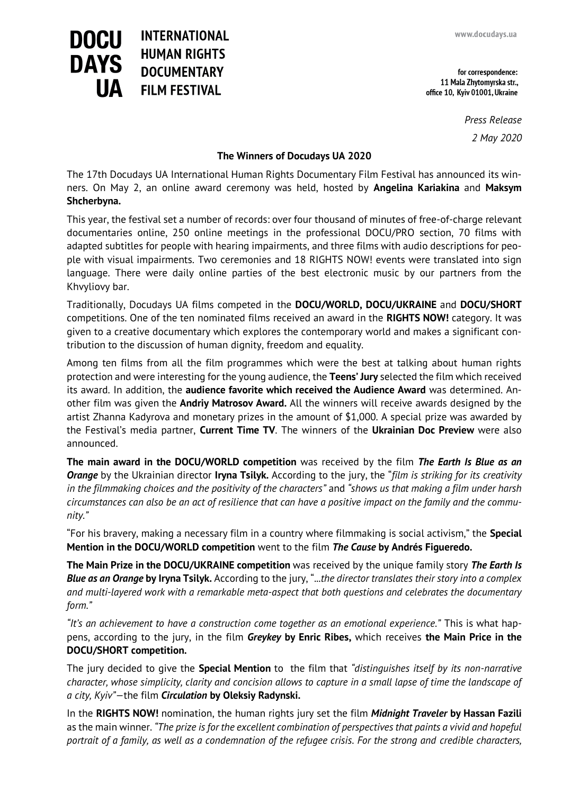for correspondence: 11 Mala Zhytomyrska str., office 10, Kyiv 01001, Ukraine

> *Press Release 2 May 2020*

## **The Winners of Docudays UA 2020**

**DOCU** 

**DAYS** 

**INTERNATIONAL** 

**HUMAN RIGHTS** 

**DOCUMENTARY** 

**FILM FESTIVAL** 

The 17th Docudays UA International Human Rights Documentary Film Festival has announced its winners. On May 2, an online award ceremony was held, hosted by **Angelina Kariakina** and **Maksym Shcherbyna.**

This year, the festival set a number of records: over four thousand of minutes of free-of-charge relevant documentaries online, 250 online meetings in the professional DOCU/PRO section, 70 films with adapted subtitles for people with hearing impairments, and three films with audio descriptions for people with visual impairments. Two ceremonies and 18 RIGHTS NOW! events were translated into sign language. There were daily online parties of the best electronic music by our partners from the Khvyliovy bar.

Traditionally, Docudays UA films competed in the **DOCU/WORLD, DOCU/UKRAINE** and **DOCU/SHORT**  competitions. One of the ten nominated films received an award in the **RIGHTS NOW!** category. It was given to a creative documentary which explores the contemporary world and makes a significant contribution to the discussion of human dignity, freedom and equality.

Among ten films from all the film programmes which were the best at talking about human rights protection and were interesting for the young audience, the **Teens' Jury** selected the film which received its award. In addition, the **audience favorite which received the Audience Award** was determined. Another film was given the **Andriy Matrosov Award.** All the winners will receive awards designed by the artist Zhanna Kadyrova and monetary prizes in the amount of \$1,000. A special prize was awarded by the Festival's media partner, **Current Time TV**. The winners of the **Ukrainian Doc Preview** were also announced.

**The main award in the DOCU/WORLD competition** was received by the film *The Earth Is Blue as an Orange* by the Ukrainian director **Iryna Tsilyk.** According to the jury, the "*film is striking for its creativity in the filmmaking choices and the positivity of the characters"* and *"shows us that making a film under harsh circumstances can also be an act of resilience that can have a positive impact on the family and the community."*

"For his bravery, making a necessary film in a country where filmmaking is social activism," the **Special Mention in the DOCU/WORLD competition** went to the film *The Cause* **by Andrés Figueredo.**

**The Main Prize in the DOCU/UKRAINE competition** was received by the unique family story *The Earth Is Blue as an Orange* **by Iryna Tsilyk.** According to the jury, "...*the director translates their story into a complex and multi-layered work with a remarkable meta-aspect that both questions and celebrates the documentary form."*

*"It's an achievement to have a construction come together as an emotional experience."* This is what happens, according to the jury, in the film *Greykey* **by Enric Ribes,** which receives **the Main Price in the DOCU/SHORT competition.**

The jury decided to give the **Special Mention** to the film that *"distinguishes itself by its non-narrative character, whose simplicity, clarity and concision allows to capture in a small lapse of time the landscape of a city, Kyiv"—*the film *Circulation* **by Oleksiy Radynski.**

In the **RIGHTS NOW!** nomination, the human rights jury set the film *Midnight Traveler* **by Hassan Fazili**  as the main winner. *"The prize is for the excellent combination of perspectives that paints a vivid and hopeful portrait of a family, as well as a condemnation of the refugee crisis. For the strong and credible characters,*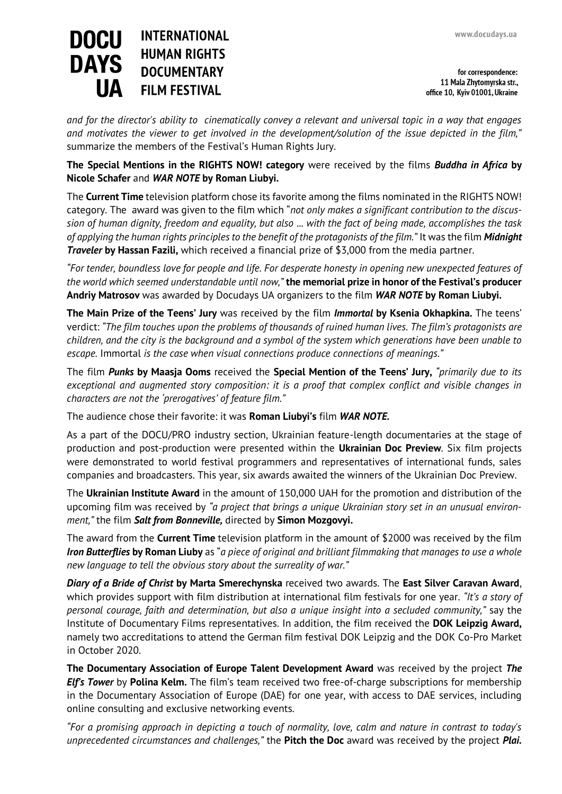## **DOCU INTERNATIONAL HUMAN RIGHTS DAYS DOCUMENTARY FILM FESTIVAL**

for correspondence: 11 Mala Zhytomyrska str., office 10, Kyiv 01001, Ukraine

*and for the director's ability to cinematically convey a relevant and universal topic in a way that engages and motivates the viewer to get involved in the development/solution of the issue depicted in the film,"*  summarize the members of the Festival's Human Rights Jury.

**The Special Mentions in the RIGHTS NOW! category** were received by the films *Buddha in Africa* **by Nicole Schafer** and *WAR NOTE* **by Roman Liubyi.**

The **Current Time** television platform chose its favorite among the films nominated in the RIGHTS NOW! category. The award was given to the film which "*not only makes a significant contribution to the discussion of human dignity, freedom and equality, but also* ... *with the fact of being made, accomplishes the task of applying the human rights principles to the benefit of the protagonists of the film."* It was the film *Midnight Traveler* **by Hassan Fazili,** which received a financial prize of \$3,000 from the media partner.

*"For tender, boundless love for people and life. For desperate honesty in opening new unexpected features of the world which seemed understandable until now,"* **the memorial prize in honor of the Festival's producer Andriy Matrosov** was awarded by Docudays UA organizers to the film *WAR NOTE* **by Roman Liubyi.**

**The Main Prize of the Teens' Jury** was received by the film *Immortal* **by Ksenia Okhapkina.** The teens' verdict: *"The film touches upon the problems of thousands of ruined human lives. The film's protagonists are children, and the city is the background and a symbol of the system which generations have been unable to escape.* Immortal *is the case when visual connections produce connections of meanings."*

The film *Punks* **by Maasja Ooms** received the **Special Mention of the Teens' Jury,** *"primarily due to its exceptional and augmented story composition: it is a proof that complex conflict and visible changes in characters are not the 'prerogatives' of feature film."*

The audience chose their favorite: it was **Roman Liubyi's** film *WAR NOTE.*

As a part of the DOCU/PRO industry section, Ukrainian feature-length documentaries at the stage of production and post-production were presented within the **Ukrainian Doc Preview**. Six film projects were demonstrated to world festival programmers and representatives of international funds, sales companies and broadcasters. This year, six awards awaited the winners of the Ukrainian Doc Preview.

The **Ukrainian Institute Award** in the amount of 150,000 UAH for the promotion and distribution of the upcoming film was received by *"a project that brings a unique Ukrainian story set in an unusual environment,"* the film *Salt from Bonneville,* directed by **Simon Mozgovyi.**

The award from the **Current Time** television platform in the amount of \$2000 was received by the film *Iron Butterflies* **by Roman Liuby** as "*a piece of original and brilliant filmmaking that manages to use a whole new language to tell the obvious story about the surreality of war."*

*Diary of a Bride of Christ* **by Marta Smerechynska** received two awards. The **East Silver Caravan Award**, which provides support with film distribution at international film festivals for one year. *"It's a story of personal courage, faith and determination, but also a unique insight into a secluded community,"* say the Institute of Documentary Films representatives. In addition, the film received the **DOK Leipzig Award,**  namely two accreditations to attend the German film festival DOK Leipzig and the DOK Co-Pro Market in October 2020.

**The Documentary Association of Europe Talent Development Award** was received by the project *The Elf's Tower* by **Polina Kelm.** The film's team received two free-of-charge subscriptions for membership in the Documentary Association of Europe (DAE) for one year, with access to DAE services, including online consulting and exclusive networking events.

*"For a promising approach in depicting a touch of normality, love, calm and nature in contrast to today's unprecedented circumstances and challenges,"* the **Pitch the Doc** award was received by the project *Plai.*